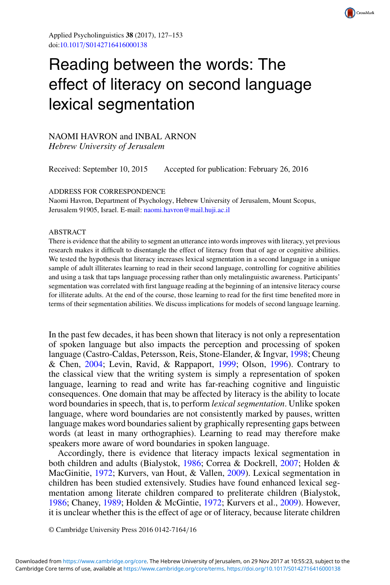

Applied Psycholinguistics **38** (2017), 127–153 doi:10.1017/[S0142716416000138](http://dx.doi.org/10.1017/S0142716416000138)

# Reading between the words: The effect of literacy on second language lexical segmentation

#### NAOMI HAVRON and INBAL ARNON *Hebrew University of Jerusalem*

Received: September 10, 2015 Accepted for publication: February 26, 2016

#### ADDRESS FOR CORRESPONDENCE

Naomi Havron, Department of Psychology, Hebrew University of Jerusalem, Mount Scopus, Jerusalem 91905, Israel. E-mail: [naomi.havron@mail.huji.ac.il](mailto:naomi.havron@mail.huji.ac.il)

#### ABSTRACT

There is evidence that the ability to segment an utterance into words improves with literacy, yet previous research makes it difficult to disentangle the effect of literacy from that of age or cognitive abilities. We tested the hypothesis that literacy increases lexical segmentation in a second language in a unique sample of adult illiterates learning to read in their second language, controlling for cognitive abilities and using a task that taps language processing rather than only metalinguistic awareness. Participants' segmentation was correlated with first language reading at the beginning of an intensive literacy course for illiterate adults. At the end of the course, those learning to read for the first time benefited more in terms of their segmentation abilities. We discuss implications for models of second language learning.

In the past few decades, it has been shown that literacy is not only a representation of spoken language but also impacts the perception and processing of spoken language (Castro-Caldas, Petersson, Reis, Stone-Elander, & Ingvar, [1998;](#page-22-0) Cheung & Chen, [2004;](#page-22-0) Levin, Ravid, & Rappaport, [1999;](#page-24-0) Olson, [1996\)](#page-24-0). Contrary to the classical view that the writing system is simply a representation of spoken language, learning to read and write has far-reaching cognitive and linguistic consequences. One domain that may be affected by literacy is the ability to locate word boundaries in speech, that is, to perform *lexical segmentation*. Unlike spoken language, where word boundaries are not consistently marked by pauses, written language makes word boundaries salient by graphically representing gaps between words (at least in many orthographies). Learning to read may therefore make speakers more aware of word boundaries in spoken language.

Accordingly, there is evidence that literacy impacts lexical segmentation in both children and adults (Bialystok, [1986;](#page-22-0) Correa & Dockrell, [2007;](#page-23-0) Holden & MacGinitie, [1972;](#page-23-0) Kurvers, van Hout, & Vallen, [2009\)](#page-24-0). Lexical segmentation in children has been studied extensively. Studies have found enhanced lexical segmentation among literate children compared to preliterate children (Bialystok, [1986;](#page-22-0) Chaney, [1989;](#page-22-0) Holden & McGintie, [1972;](#page-23-0) Kurvers et al., [2009\)](#page-24-0). However, it is unclear whether this is the effect of age or of literacy, because literate children

© Cambridge University Press 2016 0142-7164/16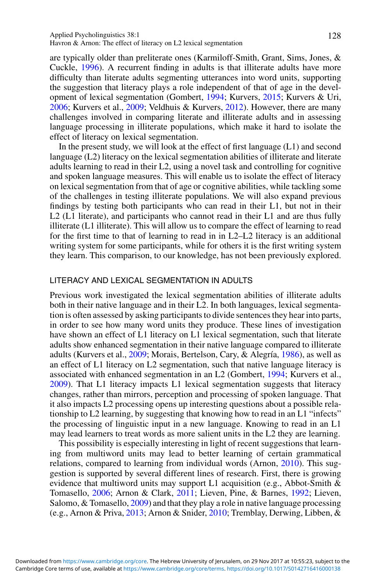are typically older than preliterate ones (Karmiloff-Smith, Grant, Sims, Jones, & Cuckle, [1996\)](#page-23-0). A recurrent finding in adults is that illiterate adults have more difficulty than literate adults segmenting utterances into word units, supporting the suggestion that literacy plays a role independent of that of age in the development of lexical segmentation (Gombert, [1994;](#page-23-0) Kurvers, [2015;](#page-24-0) Kurvers & Uri, [2006;](#page-24-0) Kurvers et al., [2009;](#page-24-0) Veldhuis & Kurvers, [2012\)](#page-26-0). However, there are many challenges involved in comparing literate and illiterate adults and in assessing language processing in illiterate populations, which make it hard to isolate the effect of literacy on lexical segmentation.

In the present study, we will look at the effect of first language  $(L1)$  and second language (L2) literacy on the lexical segmentation abilities of illiterate and literate adults learning to read in their L2, using a novel task and controlling for cognitive and spoken language measures. This will enable us to isolate the effect of literacy on lexical segmentation from that of age or cognitive abilities, while tackling some of the challenges in testing illiterate populations. We will also expand previous findings by testing both participants who can read in their L1, but not in their L<sub>2</sub> (L<sub>1</sub> literate), and participants who cannot read in their L<sub>1</sub> and are thus fully illiterate (L1 illiterate). This will allow us to compare the effect of learning to read for the first time to that of learning to read in in L2–L2 literacy is an additional writing system for some participants, while for others it is the first writing system they learn. This comparison, to our knowledge, has not been previously explored.

# LITERACY AND LEXICAL SEGMENTATION IN ADULTS

Previous work investigated the lexical segmentation abilities of illiterate adults both in their native language and in their L2. In both languages, lexical segmentation is often assessed by asking participants to divide sentences they hear into parts, in order to see how many word units they produce. These lines of investigation have shown an effect of L1 literacy on L1 lexical segmentation, such that literate adults show enhanced segmentation in their native language compared to illiterate adults (Kurvers et al., [2009;](#page-24-0) Morais, Bertelson, Cary, & Alegría, [1986\)](#page-24-0), as well as an effect of L1 literacy on L2 segmentation, such that native language literacy is associated with enhanced segmentation in an L2 (Gombert, [1994;](#page-23-0) Kurvers et al., [2009\)](#page-24-0). That L1 literacy impacts L1 lexical segmentation suggests that literacy changes, rather than mirrors, perception and processing of spoken language. That it also impacts L2 processing opens up interesting questions about a possible relationship to L2 learning, by suggesting that knowing how to read in an L1 "infects" the processing of linguistic input in a new language. Knowing to read in an L1 may lead learners to treat words as more salient units in the L2 they are learning.

This possibility is especially interesting in light of recent suggestions that learning from multiword units may lead to better learning of certain grammatical relations, compared to learning from individual words (Arnon, [2010\)](#page-22-0). This suggestion is supported by several different lines of research. First, there is growing evidence that multiword units may support L1 acquisition (e.g., Abbot-Smith & Tomasello, [2006;](#page-22-0) Arnon & Clark, [2011;](#page-22-0) Lieven, Pine, & Barnes, [1992;](#page-24-0) Lieven, Salomo, & Tomasello, [2009\)](#page-24-0) and that they play a role in native language processing (e.g., Arnon & Priva, [2013;](#page-22-0) Arnon & Snider, [2010;](#page-22-0) Tremblay, Derwing, Libben, &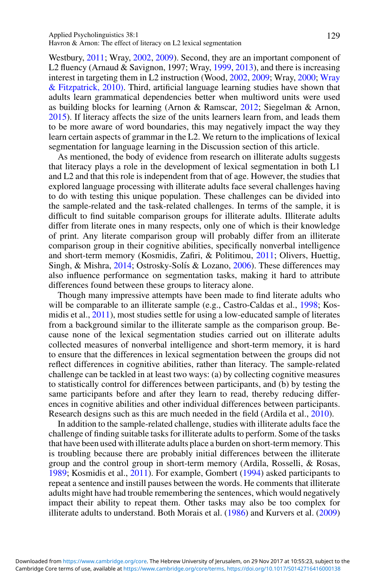Westbury, [2011;](#page-25-0) Wray, [2002,](#page-26-0) [2009\)](#page-26-0). Second, they are an important component of L2 fluency (Arnaud & Savignon, 1997; Wray, [1999,](#page-26-0) [2013\)](#page-26-0), and there is increasing interest in targeting them in L2 instruction (Wood, [2002,](#page-26-0) [2009;](#page-26-0) Wray, [2000;](#page-26-0) [Wray](#page-26-0)  $&$  Fitzpatrick, 2010). Third, artificial language learning studies have shown that adults learn grammatical dependencies better when multiword units were used as building blocks for learning (Arnon & Ramscar, [2012;](#page-22-0) Siegelman & Arnon, [2015\)](#page-25-0). If literacy affects the size of the units learners learn from, and leads them to be more aware of word boundaries, this may negatively impact the way they learn certain aspects of grammar in the L2. We return to the implications of lexical segmentation for language learning in the Discussion section of this article.

As mentioned, the body of evidence from research on illiterate adults suggests that literacy plays a role in the development of lexical segmentation in both L1 and L2 and that this role is independent from that of age. However, the studies that explored language processing with illiterate adults face several challenges having to do with testing this unique population. These challenges can be divided into the sample-related and the task-related challenges. In terms of the sample, it is difficult to find suitable comparison groups for illiterate adults. Illiterate adults differ from literate ones in many respects, only one of which is their knowledge of print. Any literate comparison group will probably differ from an illiterate comparison group in their cognitive abilities, specifically nonverbal intelligence and short-term memory (Kosmidis, Zafiri, & Politimou, [2011;](#page-23-0) Olivers, Huettig, Singh, & Mishra, [2014;](#page-24-0) Ostrosky-Solís & Lozano, [2006\)](#page-24-0). These differences may also influence performance on segmentation tasks, making it hard to attribute differences found between these groups to literacy alone.

Though many impressive attempts have been made to find literate adults who will be comparable to an illiterate sample (e.g., Castro-Caldas et al., [1998;](#page-22-0) Kosmidis et al., [2011\)](#page-23-0), most studies settle for using a low-educated sample of literates from a background similar to the illiterate sample as the comparison group. Because none of the lexical segmentation studies carried out on illiterate adults collected measures of nonverbal intelligence and short-term memory, it is hard to ensure that the differences in lexical segmentation between the groups did not reflect differences in cognitive abilities, rather than literacy. The sample-related challenge can be tackled in at least two ways: (a) by collecting cognitive measures to statistically control for differences between participants, and (b) by testing the same participants before and after they learn to read, thereby reducing differences in cognitive abilities and other individual differences between participants. Research designs such as this are much needed in the field (Ardila et al., [2010\)](#page-22-0).

In addition to the sample-related challenge, studies with illiterate adults face the challenge of finding suitable tasks for illiterate adults to perform. Some of the tasks that have been used with illiterate adults place a burden on short-term memory. This is troubling because there are probably initial differences between the illiterate group and the control group in short-term memory (Ardila, Rosselli, & Rosas, [1989;](#page-22-0) Kosmidis et al., [2011\)](#page-23-0). For example, Gombert [\(1994\)](#page-23-0) asked participants to repeat a sentence and instill pauses between the words. He comments that illiterate adults might have had trouble remembering the sentences, which would negatively impact their ability to repeat them. Other tasks may also be too complex for illiterate adults to understand. Both Morais et al. [\(1986\)](#page-24-0) and Kurvers et al. [\(2009\)](#page-24-0)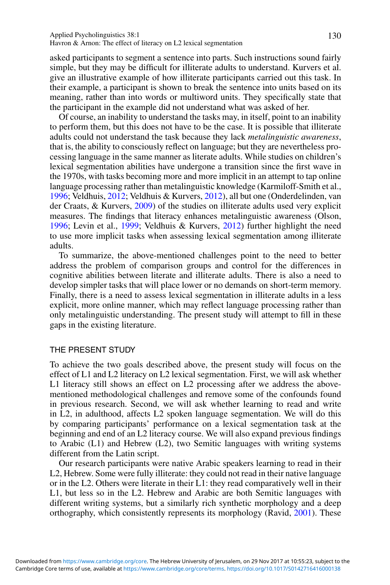#### Applied Psycholinguistics 38:1 130 Havron & Arnon: The effect of literacy on L2 lexical segmentation

asked participants to segment a sentence into parts. Such instructions sound fairly simple, but they may be difficult for illiterate adults to understand. Kurvers et al. give an illustrative example of how illiterate participants carried out this task. In their example, a participant is shown to break the sentence into units based on its meaning, rather than into words or multiword units. They specifically state that the participant in the example did not understand what was asked of her.

Of course, an inability to understand the tasks may, in itself, point to an inability to perform them, but this does not have to be the case. It is possible that illiterate adults could not understand the task because they lack *metalinguistic awareness*, that is, the ability to consciously reflect on language; but they are nevertheless processing language in the same manner as literate adults. While studies on children's lexical segmentation abilities have undergone a transition since the first wave in the 1970s, with tasks becoming more and more implicit in an attempt to tap online language processing rather than metalinguistic knowledge (Karmiloff-Smith et al., [1996;](#page-23-0) Veldhuis, [2012;](#page-26-0) Veldhuis & Kurvers, [2012\)](#page-26-0), all but one (Onderdelinden, van der Craats, & Kurvers, [2009\)](#page-24-0) of the studies on illiterate adults used very explicit measures. The findings that literacy enhances metalinguistic awareness (Olson, [1996;](#page-24-0) Levin et al., [1999;](#page-24-0) Veldhuis & Kurvers, [2012\)](#page-26-0) further highlight the need to use more implicit tasks when assessing lexical segmentation among illiterate adults.

To summarize, the above-mentioned challenges point to the need to better address the problem of comparison groups and control for the differences in cognitive abilities between literate and illiterate adults. There is also a need to develop simpler tasks that will place lower or no demands on short-term memory. Finally, there is a need to assess lexical segmentation in illiterate adults in a less explicit, more online manner, which may reflect language processing rather than only metalinguistic understanding. The present study will attempt to fill in these gaps in the existing literature.

# THE PRESENT STUDY

To achieve the two goals described above, the present study will focus on the effect of L1 and L2 literacy on L2 lexical segmentation. First, we will ask whether L1 literacy still shows an effect on L2 processing after we address the abovementioned methodological challenges and remove some of the confounds found in previous research. Second, we will ask whether learning to read and write in L2, in adulthood, affects L2 spoken language segmentation. We will do this by comparing participants' performance on a lexical segmentation task at the beginning and end of an L2 literacy course. We will also expand previous findings to Arabic  $(L1)$  and Hebrew  $(L2)$ , two Semitic languages with writing systems different from the Latin script.

Our research participants were native Arabic speakers learning to read in their L2, Hebrew. Some were fully illiterate: they could not read in their native language or in the L2. Others were literate in their L1: they read comparatively well in their L1, but less so in the L2. Hebrew and Arabic are both Semitic languages with different writing systems, but a similarly rich synthetic morphology and a deep orthography, which consistently represents its morphology (Ravid, [2001\)](#page-25-0). These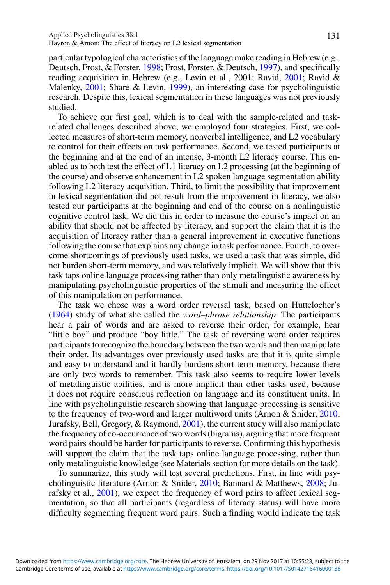particular typological characteristics of the language make reading in Hebrew (e.g., Deutsch, Frost, & Forster, [1998;](#page-23-0) Frost, Forster, & Deutsch, [1997\)](#page-23-0), and specifically reading acquisition in Hebrew (e.g., Levin et al., 2001; Ravid, [2001;](#page-25-0) Ravid & Malenky, [2001;](#page-25-0) Share & Levin, [1999\)](#page-25-0), an interesting case for psycholinguistic research. Despite this, lexical segmentation in these languages was not previously studied.

To achieve our first goal, which is to deal with the sample-related and taskrelated challenges described above, we employed four strategies. First, we collected measures of short-term memory, nonverbal intelligence, and L2 vocabulary to control for their effects on task performance. Second, we tested participants at the beginning and at the end of an intense, 3-month L2 literacy course. This enabled us to both test the effect of L1 literacy on L2 processing (at the beginning of the course) and observe enhancement in L2 spoken language segmentation ability following L2 literacy acquisition. Third, to limit the possibility that improvement in lexical segmentation did not result from the improvement in literacy, we also tested our participants at the beginning and end of the course on a nonlinguistic cognitive control task. We did this in order to measure the course's impact on an ability that should not be affected by literacy, and support the claim that it is the acquisition of literacy rather than a general improvement in executive functions following the course that explains any change in task performance. Fourth, to overcome shortcomings of previously used tasks, we used a task that was simple, did not burden short-term memory, and was relatively implicit. We will show that this task taps online language processing rather than only metalinguistic awareness by manipulating psycholinguistic properties of the stimuli and measuring the effect of this manipulation on performance.

The task we chose was a word order reversal task, based on Huttelocher's [\(1964\)](#page-23-0) study of what she called the *word–phrase relationship*. The participants hear a pair of words and are asked to reverse their order, for example, hear "little boy" and produce "boy little." The task of reversing word order requires participants to recognize the boundary between the two words and then manipulate their order. Its advantages over previously used tasks are that it is quite simple and easy to understand and it hardly burdens short-term memory, because there are only two words to remember. This task also seems to require lower levels of metalinguistic abilities, and is more implicit than other tasks used, because it does not require conscious reflection on language and its constituent units. In line with psycholinguistic research showing that language processing is sensitive to the frequency of two-word and larger multiword units (Arnon & Snider, [2010;](#page-22-0) Jurafsky, Bell, Gregory, & Raymond, [2001\)](#page-23-0), the current study will also manipulate the frequency of co-occurrence of two words (bigrams), arguing that more frequent word pairs should be harder for participants to reverse. Confirming this hypothesis will support the claim that the task taps online language processing, rather than only metalinguistic knowledge (see Materials section for more details on the task).

To summarize, this study will test several predictions. First, in line with psycholinguistic literature (Arnon & Snider, [2010;](#page-22-0) Bannard & Matthews, [2008;](#page-22-0) Jurafsky et al., [2001\)](#page-23-0), we expect the frequency of word pairs to affect lexical segmentation, so that all participants (regardless of literacy status) will have more difficulty segmenting frequent word pairs. Such a finding would indicate the task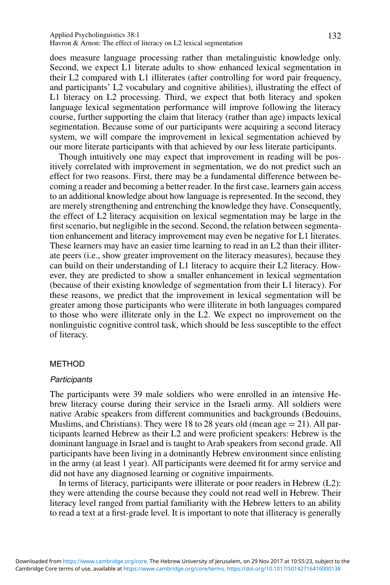does measure language processing rather than metalinguistic knowledge only. Second, we expect L1 literate adults to show enhanced lexical segmentation in their L2 compared with L1 illiterates (after controlling for word pair frequency, and participants' L2 vocabulary and cognitive abilities), illustrating the effect of L1 literacy on L2 processing. Third, we expect that both literacy and spoken language lexical segmentation performance will improve following the literacy course, further supporting the claim that literacy (rather than age) impacts lexical segmentation. Because some of our participants were acquiring a second literacy system, we will compare the improvement in lexical segmentation achieved by our more literate participants with that achieved by our less literate participants.

Though intuitively one may expect that improvement in reading will be positively correlated with improvement in segmentation, we do not predict such an effect for two reasons. First, there may be a fundamental difference between becoming a reader and becoming a better reader. In the first case, learners gain access to an additional knowledge about how language is represented. In the second, they are merely strengthening and entrenching the knowledge they have. Consequently, the effect of L2 literacy acquisition on lexical segmentation may be large in the first scenario, but negligible in the second. Second, the relation between segmentation enhancement and literacy improvement may even be negative for L1 literates. These learners may have an easier time learning to read in an L2 than their illiterate peers (i.e., show greater improvement on the literacy measures), because they can build on their understanding of L1 literacy to acquire their L2 literacy. However, they are predicted to show a smaller enhancement in lexical segmentation (because of their existing knowledge of segmentation from their L1 literacy). For these reasons, we predict that the improvement in lexical segmentation will be greater among those participants who were illiterate in both languages compared to those who were illiterate only in the L2. We expect no improvement on the nonlinguistic cognitive control task, which should be less susceptible to the effect of literacy.

# METHOD

#### *Participants*

The participants were 39 male soldiers who were enrolled in an intensive Hebrew literacy course during their service in the Israeli army. All soldiers were native Arabic speakers from different communities and backgrounds (Bedouins, Muslims, and Christians). They were 18 to 28 years old (mean age  $= 21$ ). All participants learned Hebrew as their L2 and were proficient speakers: Hebrew is the dominant language in Israel and is taught to Arab speakers from second grade. All participants have been living in a dominantly Hebrew environment since enlisting in the army (at least 1 year). All participants were deemed fit for army service and did not have any diagnosed learning or cognitive impairments.

In terms of literacy, participants were illiterate or poor readers in Hebrew (L2): they were attending the course because they could not read well in Hebrew. Their literacy level ranged from partial familiarity with the Hebrew letters to an ability to read a text at a first-grade level. It is important to note that illiteracy is generally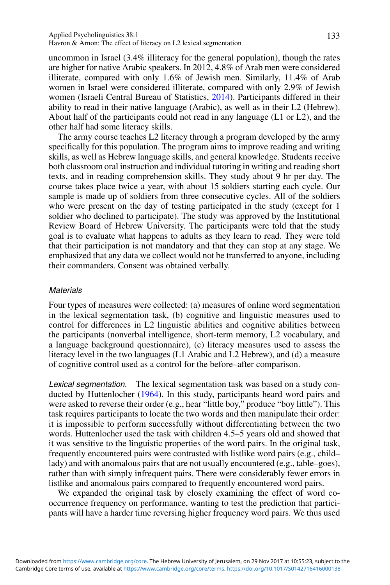uncommon in Israel (3.4% illiteracy for the general population), though the rates are higher for native Arabic speakers. In 2012, 4.8% of Arab men were considered illiterate, compared with only 1.6% of Jewish men. Similarly, 11.4% of Arab women in Israel were considered illiterate, compared with only 2.9% of Jewish women (Israeli Central Bureau of Statistics, [2014\)](#page-23-0). Participants differed in their ability to read in their native language (Arabic), as well as in their L2 (Hebrew). About half of the participants could not read in any language (L1 or L2), and the other half had some literacy skills.

The army course teaches L2 literacy through a program developed by the army specifically for this population. The program aims to improve reading and writing skills, as well as Hebrew language skills, and general knowledge. Students receive both classroom oral instruction and individual tutoring in writing and reading short texts, and in reading comprehension skills. They study about 9 hr per day. The course takes place twice a year, with about 15 soldiers starting each cycle. Our sample is made up of soldiers from three consecutive cycles. All of the soldiers who were present on the day of testing participated in the study (except for 1 soldier who declined to participate). The study was approved by the Institutional Review Board of Hebrew University. The participants were told that the study goal is to evaluate what happens to adults as they learn to read. They were told that their participation is not mandatory and that they can stop at any stage. We emphasized that any data we collect would not be transferred to anyone, including their commanders. Consent was obtained verbally.

# *Materials*

Four types of measures were collected: (a) measures of online word segmentation in the lexical segmentation task, (b) cognitive and linguistic measures used to control for differences in L2 linguistic abilities and cognitive abilities between the participants (nonverbal intelligence, short-term memory, L2 vocabulary, and a language background questionnaire), (c) literacy measures used to assess the literacy level in the two languages (L1 Arabic and L2 Hebrew), and (d) a measure of cognitive control used as a control for the before–after comparison.

*Lexical segmentation.* The lexical segmentation task was based on a study conducted by Huttenlocher [\(1964\)](#page-23-0). In this study, participants heard word pairs and were asked to reverse their order (e.g., hear "little boy," produce "boy little"). This task requires participants to locate the two words and then manipulate their order: it is impossible to perform successfully without differentiating between the two words. Huttenlocher used the task with children 4.5–5 years old and showed that it was sensitive to the linguistic properties of the word pairs. In the original task, frequently encountered pairs were contrasted with listlike word pairs (e.g., child– lady) and with anomalous pairs that are not usually encountered (e.g., table–goes), rather than with simply infrequent pairs. There were considerably fewer errors in listlike and anomalous pairs compared to frequently encountered word pairs.

We expanded the original task by closely examining the effect of word cooccurrence frequency on performance, wanting to test the prediction that participants will have a harder time reversing higher frequency word pairs. We thus used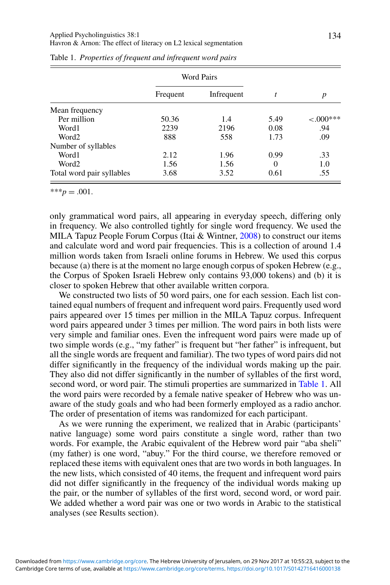|                           |          | Word Pairs |          |                  |  |
|---------------------------|----------|------------|----------|------------------|--|
|                           | Frequent | Infrequent | t        | $\boldsymbol{p}$ |  |
| Mean frequency            |          |            |          |                  |  |
| Per million               | 50.36    | 1.4        | 5.49     | $< 0.00$ ***     |  |
| Word1                     | 2239     | 2196       | 0.08     | .94              |  |
| Word <sub>2</sub>         | 888      | 558        | 1.73     | .09              |  |
| Number of syllables       |          |            |          |                  |  |
| Word1                     | 2.12     | 1.96       | 0.99     | .33              |  |
| Word2                     | 1.56     | 1.56       | $\Omega$ | 1.0              |  |
| Total word pair syllables | 3.68     | 3.52       | 0.61     | .55              |  |

| Table 1. Properties of frequent and infrequent word pairs |  |  |  |
|-----------------------------------------------------------|--|--|--|
|-----------------------------------------------------------|--|--|--|

\*\*\**p* = .001.

only grammatical word pairs, all appearing in everyday speech, differing only in frequency. We also controlled tightly for single word frequency. We used the MILA Tapuz People Forum Corpus (Itai & Wintner, [2008\)](#page-23-0) to construct our items and calculate word and word pair frequencies. This is a collection of around 1.4 million words taken from Israeli online forums in Hebrew. We used this corpus because (a) there is at the moment no large enough corpus of spoken Hebrew (e.g., the Corpus of Spoken Israeli Hebrew only contains 93,000 tokens) and (b) it is closer to spoken Hebrew that other available written corpora.

We constructed two lists of 50 word pairs, one for each session. Each list contained equal numbers of frequent and infrequent word pairs. Frequently used word pairs appeared over 15 times per million in the MILA Tapuz corpus. Infrequent word pairs appeared under 3 times per million. The word pairs in both lists were very simple and familiar ones. Even the infrequent word pairs were made up of two simple words (e.g., "my father" is frequent but "her father" is infrequent, but all the single words are frequent and familiar). The two types of word pairs did not differ significantly in the frequency of the individual words making up the pair. They also did not differ significantly in the number of syllables of the first word, second word, or word pair. The stimuli properties are summarized in Table 1. All the word pairs were recorded by a female native speaker of Hebrew who was unaware of the study goals and who had been formerly employed as a radio anchor. The order of presentation of items was randomized for each participant.

As we were running the experiment, we realized that in Arabic (participants' native language) some word pairs constitute a single word, rather than two words. For example, the Arabic equivalent of the Hebrew word pair "aba sheli" (my father) is one word, "abuy." For the third course, we therefore removed or replaced these items with equivalent ones that are two words in both languages. In the new lists, which consisted of 40 items, the frequent and infrequent word pairs did not differ significantly in the frequency of the individual words making up the pair, or the number of syllables of the first word, second word, or word pair. We added whether a word pair was one or two words in Arabic to the statistical analyses (see Results section).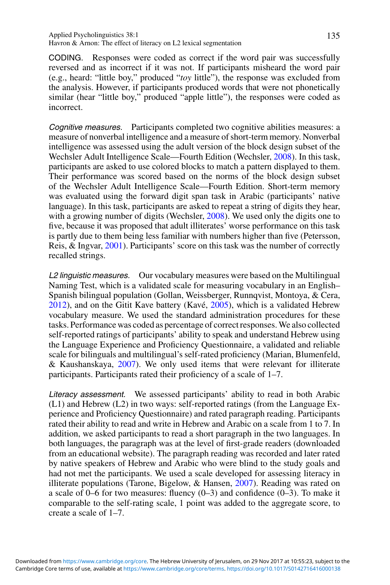Applied Psycholinguistics 38:1 135 Havron & Arnon: The effect of literacy on L2 lexical segmentation

CODING. Responses were coded as correct if the word pair was successfully reversed and as incorrect if it was not. If participants misheard the word pair (e.g., heard: "little boy," produced "*toy* little"), the response was excluded from the analysis. However, if participants produced words that were not phonetically similar (hear "little boy," produced "apple little"), the responses were coded as incorrect.

*Cognitive measures.* Participants completed two cognitive abilities measures: a measure of nonverbal intelligence and a measure of short-term memory. Nonverbal intelligence was assessed using the adult version of the block design subset of the Wechsler Adult Intelligence Scale—Fourth Edition (Wechsler, [2008\)](#page-26-0). In this task, participants are asked to use colored blocks to match a pattern displayed to them. Their performance was scored based on the norms of the block design subset of the Wechsler Adult Intelligence Scale—Fourth Edition. Short-term memory was evaluated using the forward digit span task in Arabic (participants' native language). In this task, participants are asked to repeat a string of digits they hear, with a growing number of digits (Wechsler, [2008\)](#page-26-0). We used only the digits one to five, because it was proposed that adult illiterates' worse performance on this task is partly due to them being less familiar with numbers higher than five (Petersson, Reis, & Ingvar, [2001\)](#page-24-0). Participants' score on this task was the number of correctly recalled strings.

*L2 linguistic measures.* Our vocabulary measures were based on the Multilingual Naming Test, which is a validated scale for measuring vocabulary in an English– Spanish bilingual population (Gollan, Weissberger, Runnqvist, Montoya, & Cera,  $2012$ ), and on the Gitit Kave battery (Kavé,  $2005$ ), which is a validated Hebrew vocabulary measure. We used the standard administration procedures for these tasks. Performance was coded as percentage of correct responses.We also collected self-reported ratings of participants' ability to speak and understand Hebrew using the Language Experience and Proficiency Questionnaire, a validated and reliable scale for bilinguals and multilingual's self-rated proficiency (Marian, Blumenfeld, & Kaushanskaya, [2007\)](#page-24-0). We only used items that were relevant for illiterate participants. Participants rated their proficiency of a scale of 1–7.

*Literacy assessment.* We assessed participants' ability to read in both Arabic (L1) and Hebrew (L2) in two ways: self-reported ratings (from the Language Experience and Proficiency Questionnaire) and rated paragraph reading. Participants rated their ability to read and write in Hebrew and Arabic on a scale from 1 to 7. In addition, we asked participants to read a short paragraph in the two languages. In both languages, the paragraph was at the level of first-grade readers (downloaded from an educational website). The paragraph reading was recorded and later rated by native speakers of Hebrew and Arabic who were blind to the study goals and had not met the participants. We used a scale developed for assessing literacy in illiterate populations (Tarone, Bigelow, & Hansen, [2007\)](#page-25-0). Reading was rated on a scale of 0–6 for two measures: fluency  $(0-3)$  and confidence  $(0-3)$ . To make it comparable to the self-rating scale, 1 point was added to the aggregate score, to create a scale of 1–7.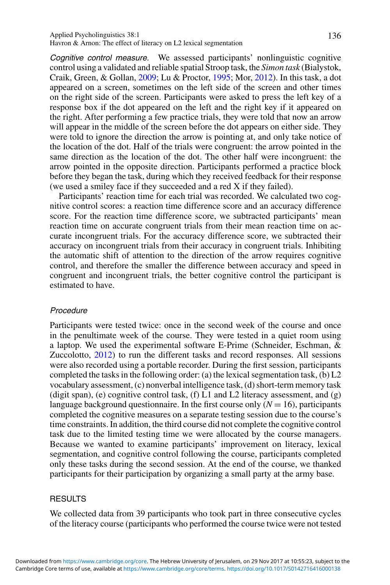#### Applied Psycholinguistics 38:1 136 Havron & Arnon: The effect of literacy on L2 lexical segmentation

*Cognitive control measure.* We assessed participants' nonlinguistic cognitive control using a validated and reliable spatial Stroop task, the *Simon task* (Bialystok, Craik, Green, & Gollan, [2009;](#page-22-0) Lu & Proctor, [1995;](#page-24-0) Mor, [2012\)](#page-24-0). In this task, a dot appeared on a screen, sometimes on the left side of the screen and other times on the right side of the screen. Participants were asked to press the left key of a response box if the dot appeared on the left and the right key if it appeared on the right. After performing a few practice trials, they were told that now an arrow will appear in the middle of the screen before the dot appears on either side. They were told to ignore the direction the arrow is pointing at, and only take notice of the location of the dot. Half of the trials were congruent: the arrow pointed in the same direction as the location of the dot. The other half were incongruent: the arrow pointed in the opposite direction. Participants performed a practice block before they began the task, during which they received feedback for their response (we used a smiley face if they succeeded and a red X if they failed).

Participants' reaction time for each trial was recorded. We calculated two cognitive control scores: a reaction time difference score and an accuracy difference score. For the reaction time difference score, we subtracted participants' mean reaction time on accurate congruent trials from their mean reaction time on accurate incongruent trials. For the accuracy difference score, we subtracted their accuracy on incongruent trials from their accuracy in congruent trials. Inhibiting the automatic shift of attention to the direction of the arrow requires cognitive control, and therefore the smaller the difference between accuracy and speed in congruent and incongruent trials, the better cognitive control the participant is estimated to have.

# *Procedure*

Participants were tested twice: once in the second week of the course and once in the penultimate week of the course. They were tested in a quiet room using a laptop. We used the experimental software E-Prime (Schneider, Eschman, & Zuccolotto, [2012\)](#page-25-0) to run the different tasks and record responses. All sessions were also recorded using a portable recorder. During the first session, participants completed the tasks in the following order: (a) the lexical segmentation task, (b)  $L2$ vocabulary assessment, (c) nonverbal intelligence task, (d) short-term memory task (digit span), (e) cognitive control task, (f) L1 and L2 literacy assessment, and  $(g)$ language background questionnaire. In the first course only  $(N = 16)$ , participants completed the cognitive measures on a separate testing session due to the course's time constraints. In addition, the third course did not complete the cognitive control task due to the limited testing time we were allocated by the course managers. Because we wanted to examine participants' improvement on literacy, lexical segmentation, and cognitive control following the course, participants completed only these tasks during the second session. At the end of the course, we thanked participants for their participation by organizing a small party at the army base.

# **RESULTS**

We collected data from 39 participants who took part in three consecutive cycles of the literacy course (participants who performed the course twice were not tested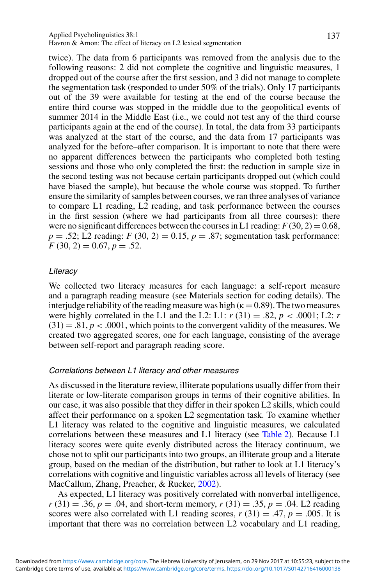#### Applied Psycholinguistics 38:1 137 Havron & Arnon: The effect of literacy on L2 lexical segmentation

twice). The data from 6 participants was removed from the analysis due to the following reasons: 2 did not complete the cognitive and linguistic measures, 1 dropped out of the course after the first session, and 3 did not manage to complete the segmentation task (responded to under 50% of the trials). Only 17 participants out of the 39 were available for testing at the end of the course because the entire third course was stopped in the middle due to the geopolitical events of summer 2014 in the Middle East (i.e., we could not test any of the third course participants again at the end of the course). In total, the data from 33 participants was analyzed at the start of the course, and the data from 17 participants was analyzed for the before–after comparison. It is important to note that there were no apparent differences between the participants who completed both testing sessions and those who only completed the first: the reduction in sample size in the second testing was not because certain participants dropped out (which could have biased the sample), but because the whole course was stopped. To further ensure the similarity of samples between courses, we ran three analyses of variance to compare L1 reading, L2 reading, and task performance between the courses in the first session (where we had participants from all three courses): there were no significant differences between the courses in L1 reading:  $F(30, 2) = 0.68$ ,  $p = .52$ ; L2 reading:  $F(30, 2) = 0.15$ ,  $p = .87$ ; segmentation task performance:  $F(30, 2) = 0.67, p = .52.$ 

# *Literacy*

We collected two literacy measures for each language: a self-report measure and a paragraph reading measure (see Materials section for coding details). The interjudge reliability of the reading measure was high ( $\kappa = 0.89$ ). The two measures were highly correlated in the L1 and the L2: L1:  $r(31) = .82$ ,  $p < .0001$ ; L2:  $r$  $(31) = .81, p < .0001$ , which points to the convergent validity of the measures. We created two aggregated scores, one for each language, consisting of the average between self-report and paragraph reading score.

# *Correlations between L1 literacy and other measures*

As discussed in the literature review, illiterate populations usually differ from their literate or low-literate comparison groups in terms of their cognitive abilities. In our case, it was also possible that they differ in their spoken L2 skills, which could affect their performance on a spoken L2 segmentation task. To examine whether L1 literacy was related to the cognitive and linguistic measures, we calculated correlations between these measures and L1 literacy (see [Table 2\)](#page-11-0). Because L1 literacy scores were quite evenly distributed across the literacy continuum, we chose not to split our participants into two groups, an illiterate group and a literate group, based on the median of the distribution, but rather to look at L1 literacy's correlations with cognitive and linguistic variables across all levels of literacy (see MacCallum, Zhang, Preacher, & Rucker, [2002\)](#page-24-0).

As expected, L1 literacy was positively correlated with nonverbal intelligence,  $r(31) = .36$ ,  $p = .04$ , and short-term memory,  $r(31) = .35$ ,  $p = .04$ . L2 reading scores were also correlated with L1 reading scores,  $r(31) = .47$ ,  $p = .005$ . It is important that there was no correlation between L2 vocabulary and L1 reading,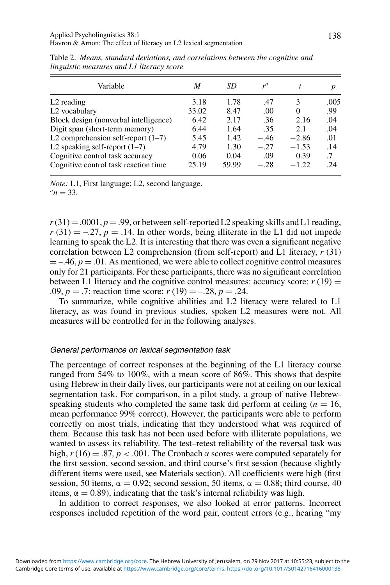| Variable                              | M     | SD    | $\mu$ <sup>a</sup> | t       | p    |
|---------------------------------------|-------|-------|--------------------|---------|------|
| $L2$ reading                          | 3.18  | 1.78  | .47                | 3       | .005 |
| L <sub>2</sub> vocabulary             | 33.02 | 8.47  | .00.               | 0       | .99  |
| Block design (nonverbal intelligence) | 6.42  | 2.17  | .36                | 2.16    | .04  |
| Digit span (short-term memory)        | 6.44  | 1.64  | .35                | 2.1     | .04  |
| L2 comprehension self-report $(1-7)$  | 5.45  | 1.42  | $-.46$             | $-2.86$ | .01  |
| L2 speaking self-report $(1-7)$       | 4.79  | 1.30  | $-.27$             | $-1.53$ | .14  |
| Cognitive control task accuracy       | 0.06  | 0.04  | .09                | 0.39    | .7   |
| Cognitive control task reaction time  | 25.19 | 59.99 | $-.28$             | $-1.22$ | -24  |

<span id="page-11-0"></span>Table 2. *Means, standard deviations, and correlations between the cognitive and linguistic measures and L1 literacy score*

*Note:* L1, First language; L2, second language. *an* <sup>=</sup> 33.

 $r(31) = .0001, p = .99$ , or between self-reported L2 speaking skills and L1 reading,  $r(31) = -.27$ ,  $p = .14$ . In other words, being illiterate in the L1 did not impede learning to speak the L2. It is interesting that there was even a significant negative correlation between L2 comprehension (from self-report) and L1 literacy, *r* (31)  $=$  -.46,  $p = .01$ . As mentioned, we were able to collect cognitive control measures only for 21 participants. For these participants, there was no significant correlation between L1 literacy and the cognitive control measures: accuracy score:  $r(19)$  = .09,  $p = .7$ ; reaction time score:  $r(19) = -.28$ ,  $p = .24$ .

To summarize, while cognitive abilities and L2 literacy were related to L1 literacy, as was found in previous studies, spoken L2 measures were not. All measures will be controlled for in the following analyses.

# *General performance on lexical segmentation task*

The percentage of correct responses at the beginning of the L1 literacy course ranged from 54% to 100%, with a mean score of 86%. This shows that despite using Hebrew in their daily lives, our participants were not at ceiling on our lexical segmentation task. For comparison, in a pilot study, a group of native Hebrewspeaking students who completed the same task did perform at ceiling  $(n = 16)$ , mean performance 99% correct). However, the participants were able to perform correctly on most trials, indicating that they understood what was required of them. Because this task has not been used before with illiterate populations, we wanted to assess its reliability. The test–retest reliability of the reversal task was high,  $r(16) = .87$ ,  $p < .001$ . The Cronbach  $\alpha$  scores were computed separately for the first session, second session, and third course's first session (because slightly different items were used, see Materials section). All coefficients were high (first session, 50 items,  $\alpha = 0.92$ ; second session, 50 items,  $\alpha = 0.88$ ; third course, 40 items,  $\alpha = 0.89$ ), indicating that the task's internal reliability was high.

In addition to correct responses, we also looked at error patterns. Incorrect responses included repetition of the word pair, content errors (e.g., hearing "my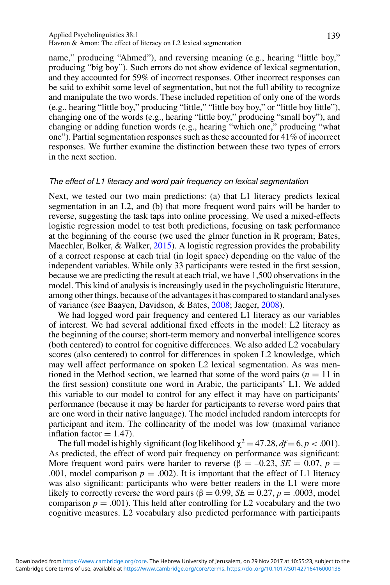#### Applied Psycholinguistics 38:1 139 Havron & Arnon: The effect of literacy on L2 lexical segmentation

name," producing "Ahmed"), and reversing meaning (e.g., hearing "little boy," producing "big boy"). Such errors do not show evidence of lexical segmentation, and they accounted for 59% of incorrect responses. Other incorrect responses can be said to exhibit some level of segmentation, but not the full ability to recognize and manipulate the two words. These included repetition of only one of the words (e.g., hearing "little boy," producing "little," "little boy boy," or "little boy little"), changing one of the words (e.g., hearing "little boy," producing "small boy"), and changing or adding function words (e.g., hearing "which one," producing "what one"). Partial segmentation responses such as these accounted for 41% of incorrect responses. We further examine the distinction between these two types of errors in the next section.

#### *The effect of L1 literacy and word pair frequency on lexical segmentation*

Next, we tested our two main predictions: (a) that L1 literacy predicts lexical segmentation in an L2, and (b) that more frequent word pairs will be harder to reverse, suggesting the task taps into online processing. We used a mixed-effects logistic regression model to test both predictions, focusing on task performance at the beginning of the course (we used the glmer function in R program; Bates, Maechler, Bolker, & Walker, [2015\)](#page-22-0). A logistic regression provides the probability of a correct response at each trial (in logit space) depending on the value of the independent variables. While only 33 participants were tested in the first session, because we are predicting the result at each trial, we have 1,500 observations in the model. This kind of analysis is increasingly used in the psycholinguistic literature, among other things, because of the advantages it has compared to standard analyses of variance (see Baayen, Davidson, & Bates, [2008;](#page-22-0) Jaeger, [2008\)](#page-23-0).

We had logged word pair frequency and centered L1 literacy as our variables of interest. We had several additional fixed effects in the model: L2 literacy as the beginning of the course; short-term memory and nonverbal intelligence scores (both centered) to control for cognitive differences. We also added L2 vocabulary scores (also centered) to control for differences in spoken L2 knowledge, which may well affect performance on spoken L2 lexical segmentation. As was mentioned in the Method section, we learned that some of the word pairs  $(n = 11$  in the first session) constitute one word in Arabic, the participants' L1. We added this variable to our model to control for any effect it may have on participants' performance (because it may be harder for participants to reverse word pairs that are one word in their native language). The model included random intercepts for participant and item. The collinearity of the model was low (maximal variance inflation factor  $= 1.47$ ).

The full model is highly significant (log likelihood  $\chi^2 = 47.28$ ,  $df = 6$ ,  $p < .001$ ). As predicted, the effect of word pair frequency on performance was significant: More frequent word pairs were harder to reverse ( $\beta = -0.23$ ,  $SE = 0.07$ ,  $p =$ .001, model comparison  $p = .002$ ). It is important that the effect of L1 literacy was also significant: participants who were better readers in the L1 were more likely to correctly reverse the word pairs ( $\beta = 0.99$ ,  $SE = 0.27$ ,  $p = .0003$ , model comparison  $p = .001$ . This held after controlling for L2 vocabulary and the two cognitive measures. L2 vocabulary also predicted performance with participants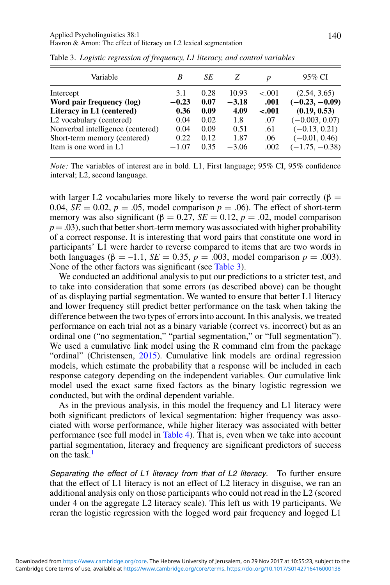| Variable                                               | B              | SЕ           | Z                | p               | 95% CI                           |
|--------------------------------------------------------|----------------|--------------|------------------|-----------------|----------------------------------|
| Intercept                                              | 3.1<br>$-0.23$ | 0.28<br>0.07 | 10.93<br>$-3.18$ | $-.001$<br>.001 | (2.54, 3.65)<br>$(-0.23, -0.09)$ |
| Word pair frequency (log)<br>Literacy in L1 (centered) | 0.36           | 0.09         | 4.09             | $-.001$         | (0.19, 0.53)                     |
| L <sub>2</sub> vocabulary (centered)                   | 0.04           | 0.02         | 1.8              | .07             | $(-0.003, 0.07)$                 |
| Nonverbal intelligence (centered)                      | 0.04           | 0.09         | 0.51             | .61             | $(-0.13, 0.21)$                  |
| Short-term memory (centered)                           | 0.22           | 0.12         | 1.87             | .06             | $(-0.01, 0.46)$                  |
| Item is one word in L1                                 | $-1.07$        | 0.35         | $-3.06$          | .002            | $(-1.75, -0.38)$                 |

Table 3. *Logistic regression of frequency, L1 literacy, and control variables*

*Note:* The variables of interest are in bold. L1, First language; 95% CI, 95% confidence interval; L2, second language.

with larger L2 vocabularies more likely to reverse the word pair correctly ( $\beta$  = 0.04,  $SE = 0.02$ ,  $p = .05$ , model comparison  $p = .06$ ). The effect of short-term memory was also significant ( $\beta = 0.27$ ,  $SE = 0.12$ ,  $p = .02$ , model comparison  $p = .03$ ), such that better short-term memory was associated with higher probability of a correct response. It is interesting that word pairs that constitute one word in participants' L1 were harder to reverse compared to items that are two words in both languages (β = –1.1, *SE* = 0.35, *p* = .003, model comparison *p* = .003). None of the other factors was significant (see Table 3).

We conducted an additional analysis to put our predictions to a stricter test, and to take into consideration that some errors (as described above) can be thought of as displaying partial segmentation. We wanted to ensure that better L1 literacy and lower frequency still predict better performance on the task when taking the difference between the two types of errors into account. In this analysis, we treated performance on each trial not as a binary variable (correct vs. incorrect) but as an ordinal one ("no segmentation," "partial segmentation," or "full segmentation"). We used a cumulative link model using the R command clm from the package "ordinal" (Christensen, [2015\)](#page-23-0). Cumulative link models are ordinal regression models, which estimate the probability that a response will be included in each response category depending on the independent variables. Our cumulative link model used the exact same fixed factors as the binary logistic regression we conducted, but with the ordinal dependent variable.

As in the previous analysis, in this model the frequency and L1 literacy were both significant predictors of lexical segmentation: higher frequency was associated with worse performance, while higher literacy was associated with better performance (see full model in [Table 4\)](#page-14-0). That is, even when we take into account partial segmentation, literacy and frequency are significant predictors of success on the task[.](#page-21-0) $<sup>1</sup>$ </sup>

*Separating the effect of L1 literacy from that of L2 literacy.* To further ensure that the effect of L1 literacy is not an effect of L2 literacy in disguise, we ran an additional analysis only on those participants who could not read in the L2 (scored under 4 on the aggregate L2 literacy scale). This left us with 19 participants. We reran the logistic regression with the logged word pair frequency and logged L1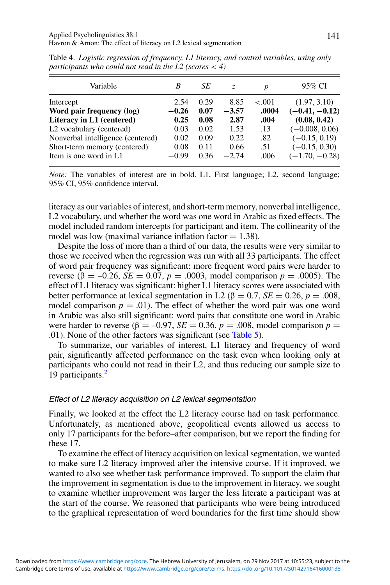| B               | SE           | Z.              | p                                          | 95% CI                                                 |
|-----------------|--------------|-----------------|--------------------------------------------|--------------------------------------------------------|
| 2.54<br>$-0.26$ | 0.29<br>0.07 | 8.85<br>$-3.57$ | $-.001$<br>.0004                           | (1.97, 3.10)<br>$(-0.41, -0.12)$                       |
| 0.03            | 0.02         | 1.53            | .13                                        | (0.08, 0.42)<br>$(-0.008, 0.06)$                       |
| 0.08            | 0.11         | 0.66            | .51                                        | $(-0.15, 0.19)$<br>$(-0.15, 0.30)$<br>$(-1.70, -0.28)$ |
|                 | 0.25<br>0.02 | 0.08<br>0.09    | 2.87<br>0.22<br>$-0.99$<br>0.36<br>$-2.74$ | .004<br>.82<br>.006                                    |

<span id="page-14-0"></span>Table 4. *Logistic regression of frequency, L1 literacy, and control variables, using only participants who could not read in the L2 (scores* < *4)*

*Note:* The variables of interest are in bold. L1, First language; L2, second language; 95% CI, 95% confidence interval.

literacy as our variables of interest, and short-term memory, nonverbal intelligence, L2 vocabulary, and whether the word was one word in Arabic as fixed effects. The model included random intercepts for participant and item. The collinearity of the model was low (maximal variance inflation factor  $= 1.38$ ).

Despite the loss of more than a third of our data, the results were very similar to those we received when the regression was run with all 33 participants. The effect of word pair frequency was significant: more frequent word pairs were harder to reverse (β = –0.26, *SE* = 0.07, *p* = .0003, model comparison *p* = .0005). The effect of L1 literacy was significant: higher L1 literacy scores were associated with better performance at lexical segmentation in L2 ( $\beta = 0.7$ , *SE* = 0.26, *p* = .008, model comparison  $p = .01$ ). The effect of whether the word pair was one word in Arabic was also still significant: word pairs that constitute one word in Arabic were harder to reverse ( $\beta = -0.97$ ,  $SE = 0.36$ ,  $p = .008$ , model comparison  $p =$ .01). None of the other factors was significant (see [Table 5\)](#page-15-0).

To summarize, our variables of interest, L1 literacy and frequency of word pair, significantly affected performance on the task even when looking only at participants who could not read in their L2, and thus reducing our sample size to 19 participants[.](#page-21-0)<sup>2</sup>

#### *Effect of L2 literacy acquisition on L2 lexical segmentation*

Finally, we looked at the effect the L2 literacy course had on task performance. Unfortunately, as mentioned above, geopolitical events allowed us access to only 17 participants for the before–after comparison, but we report the finding for these 17.

To examine the effect of literacy acquisition on lexical segmentation, we wanted to make sure L2 literacy improved after the intensive course. If it improved, we wanted to also see whether task performance improved. To support the claim that the improvement in segmentation is due to the improvement in literacy, we sought to examine whether improvement was larger the less literate a participant was at the start of the course. We reasoned that participants who were being introduced to the graphical representation of word boundaries for the first time should show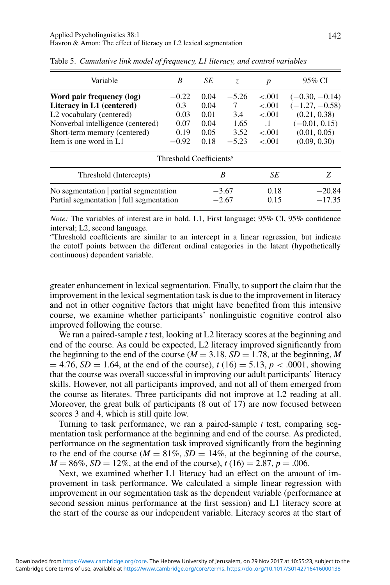| Variable                                 | R                                   | SE      | Z.      | $\boldsymbol{p}$ | 95% CI           |
|------------------------------------------|-------------------------------------|---------|---------|------------------|------------------|
| Word pair frequency (log)                | $-0.22$                             | 0.04    | $-5.26$ | $-.001$          | $(-0.30, -0.14)$ |
| Literacy in L1 (centered)                | 0.3                                 | 0.04    | 7       | $-.001$          | $(-1.27, -0.58)$ |
| L <sub>2</sub> vocabulary (centered)     | 0.03                                | 0.01    | 3.4     | $-.001$          | (0.21, 0.38)     |
| Nonverbal intelligence (centered)        | 0.07                                | 0.04    | 1.65    | $\cdot$ 1        | $(-0.01, 0.15)$  |
| Short-term memory (centered)             | 0.19                                | 0.05    | 3.52    | $-.001$          | (0.01, 0.05)     |
| Item is one word in L1                   | $-0.92$                             | 0.18    | $-5.23$ | $-.001$          | (0.09, 0.30)     |
|                                          | Threshold Coefficients <sup>a</sup> |         |         |                  |                  |
| Threshold (Intercepts)                   |                                     | B       |         | SЕ               | Z                |
| No segmentation   partial segmentation   |                                     | $-3.67$ |         | 0.18             | $-20.84$         |
| Partial segmentation   full segmentation |                                     | $-2.67$ |         | 0.15             | $-17.35$         |

<span id="page-15-0"></span>Table 5. *Cumulative link model of frequency, L1 literacy, and control variables*

*Note:* The variables of interest are in bold. L1, First language; 95% CI, 95% confidence interval; L2, second language.

*<sup>a</sup>*Threshold coefficients are similar to an intercept in a linear regression, but indicate the cutoff points between the different ordinal categories in the latent (hypothetically continuous) dependent variable.

greater enhancement in lexical segmentation. Finally, to support the claim that the improvement in the lexical segmentation task is due to the improvement in literacy and not in other cognitive factors that might have benefited from this intensive course, we examine whether participants' nonlinguistic cognitive control also improved following the course.

We ran a paired-sample *t* test, looking at L2 literacy scores at the beginning and end of the course. As could be expected, L2 literacy improved significantly from the beginning to the end of the course ( $M = 3.18$ ,  $SD = 1.78$ , at the beginning, M  $= 4.76$ , *SD* = 1.64, at the end of the course), *t* (16) = 5.13, *p* < .0001, showing that the course was overall successful in improving our adult participants' literacy skills. However, not all participants improved, and not all of them emerged from the course as literates. Three participants did not improve at L2 reading at all. Moreover, the great bulk of participants (8 out of 17) are now focused between scores 3 and 4, which is still quite low.

Turning to task performance, we ran a paired-sample *t* test, comparing segmentation task performance at the beginning and end of the course. As predicted, performance on the segmentation task improved significantly from the beginning to the end of the course ( $M = 81\%$ ,  $SD = 14\%$ , at the beginning of the course,  $M = 86\%, SD = 12\%,$  at the end of the course),  $t(16) = 2.87, p = .006$ .

Next, we examined whether L1 literacy had an effect on the amount of improvement in task performance. We calculated a simple linear regression with improvement in our segmentation task as the dependent variable (performance at second session minus performance at the first session) and L1 literacy score at the start of the course as our independent variable. Literacy scores at the start of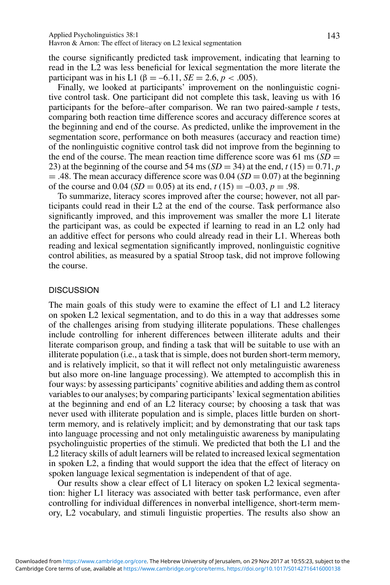the course significantly predicted task improvement, indicating that learning to read in the L2 was less beneficial for lexical segmentation the more literate the participant was in his L1 (β = –6.11, *SE* = 2.6, *p* < .005).

Finally, we looked at participants' improvement on the nonlinguistic cognitive control task. One participant did not complete this task, leaving us with 16 participants for the before–after comparison. We ran two paired-sample *t* tests, comparing both reaction time difference scores and accuracy difference scores at the beginning and end of the course. As predicted, unlike the improvement in the segmentation score, performance on both measures (accuracy and reaction time) of the nonlinguistic cognitive control task did not improve from the beginning to the end of the course. The mean reaction time difference score was 61 ms  $(SD =$ 23) at the beginning of the course and 54 ms  $(SD = 34)$  at the end,  $t(15) = 0.71$ , *p*  $= .48$ . The mean accuracy difference score was  $0.04(SD = 0.07)$  at the beginning of the course and  $0.04$  (*SD* = 0.05) at its end,  $t(15) = -0.03$ ,  $p = .98$ .

To summarize, literacy scores improved after the course; however, not all participants could read in their L2 at the end of the course. Task performance also significantly improved, and this improvement was smaller the more L1 literate the participant was, as could be expected if learning to read in an L2 only had an additive effect for persons who could already read in their L1. Whereas both reading and lexical segmentation significantly improved, nonlinguistic cognitive control abilities, as measured by a spatial Stroop task, did not improve following the course.

### **DISCUSSION**

The main goals of this study were to examine the effect of L1 and L2 literacy on spoken L2 lexical segmentation, and to do this in a way that addresses some of the challenges arising from studying illiterate populations. These challenges include controlling for inherent differences between illiterate adults and their literate comparison group, and finding a task that will be suitable to use with an illiterate population (i.e., a task that is simple, does not burden short-term memory, and is relatively implicit, so that it will reflect not only metalinguistic awareness but also more on-line language processing). We attempted to accomplish this in four ways: by assessing participants' cognitive abilities and adding them as control variables to our analyses; by comparing participants' lexical segmentation abilities at the beginning and end of an L2 literacy course; by choosing a task that was never used with illiterate population and is simple, places little burden on shortterm memory, and is relatively implicit; and by demonstrating that our task taps into language processing and not only metalinguistic awareness by manipulating psycholinguistic properties of the stimuli. We predicted that both the L1 and the L2 literacy skills of adult learners will be related to increased lexical segmentation in spoken L2, a finding that would support the idea that the effect of literacy on spoken language lexical segmentation is independent of that of age.

Our results show a clear effect of L1 literacy on spoken L2 lexical segmentation: higher L1 literacy was associated with better task performance, even after controlling for individual differences in nonverbal intelligence, short-term memory, L2 vocabulary, and stimuli linguistic properties. The results also show an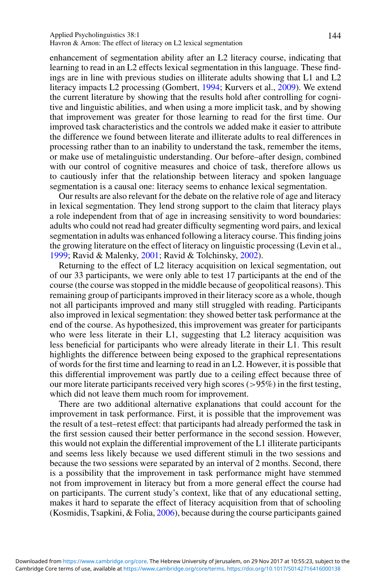#### Applied Psycholinguistics 38:1 144 Havron & Arnon: The effect of literacy on L2 lexical segmentation

enhancement of segmentation ability after an L2 literacy course, indicating that learning to read in an L2 effects lexical segmentation in this language. These findings are in line with previous studies on illiterate adults showing that L1 and L2 literacy impacts L2 processing (Gombert, [1994;](#page-23-0) Kurvers et al., [2009\)](#page-24-0). We extend the current literature by showing that the results hold after controlling for cognitive and linguistic abilities, and when using a more implicit task, and by showing that improvement was greater for those learning to read for the first time. Our improved task characteristics and the controls we added make it easier to attribute the difference we found between literate and illiterate adults to real differences in processing rather than to an inability to understand the task, remember the items, or make use of metalinguistic understanding. Our before–after design, combined with our control of cognitive measures and choice of task, therefore allows us to cautiously infer that the relationship between literacy and spoken language segmentation is a causal one: literacy seems to enhance lexical segmentation.

Our results are also relevant for the debate on the relative role of age and literacy in lexical segmentation. They lend strong support to the claim that literacy plays a role independent from that of age in increasing sensitivity to word boundaries: adults who could not read had greater difficulty segmenting word pairs, and lexical segmentation in adults was enhanced following a literacy course. This finding joins the growing literature on the effect of literacy on linguistic processing (Levin et al., [1999;](#page-24-0) Ravid & Malenky, [2001;](#page-25-0) Ravid & Tolchinsky, [2002\)](#page-25-0).

Returning to the effect of L2 literacy acquisition on lexical segmentation, out of our 33 participants, we were only able to test 17 participants at the end of the course (the course was stopped in the middle because of geopolitical reasons). This remaining group of participants improved in their literacy score as a whole, though not all participants improved and many still struggled with reading. Participants also improved in lexical segmentation: they showed better task performance at the end of the course. As hypothesized, this improvement was greater for participants who were less literate in their L1, suggesting that L2 literacy acquisition was less beneficial for participants who were already literate in their L1. This result highlights the difference between being exposed to the graphical representations of words for the first time and learning to read in an L2. However, it is possible that this differential improvement was partly due to a ceiling effect because three of our more literate participants received very high scores  $(>95%)$  in the first testing, which did not leave them much room for improvement.

There are two additional alternative explanations that could account for the improvement in task performance. First, it is possible that the improvement was the result of a test–retest effect: that participants had already performed the task in the first session caused their better performance in the second session. However, this would not explain the differential improvement of the L1 illiterate participants and seems less likely because we used different stimuli in the two sessions and because the two sessions were separated by an interval of 2 months. Second, there is a possibility that the improvement in task performance might have stemmed not from improvement in literacy but from a more general effect the course had on participants. The current study's context, like that of any educational setting, makes it hard to separate the effect of literacy acquisition from that of schooling (Kosmidis, Tsapkini,  $&$  Folia, [2006\)](#page-23-0), because during the course participants gained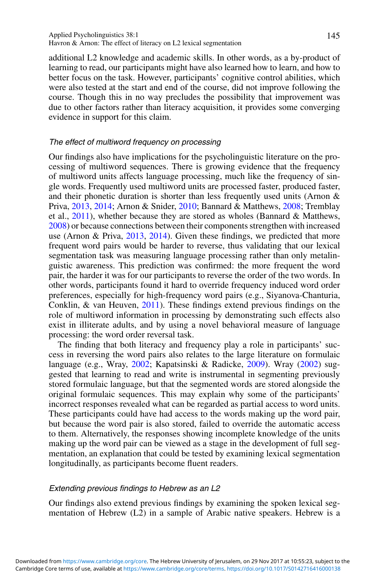additional L2 knowledge and academic skills. In other words, as a by-product of learning to read, our participants might have also learned how to learn, and how to better focus on the task. However, participants' cognitive control abilities, which were also tested at the start and end of the course, did not improve following the course. Though this in no way precludes the possibility that improvement was due to other factors rather than literacy acquisition, it provides some converging evidence in support for this claim.

# *The effect of multiword frequency on processing*

Our findings also have implications for the psycholinguistic literature on the processing of multiword sequences. There is growing evidence that the frequency of multiword units affects language processing, much like the frequency of single words. Frequently used multiword units are processed faster, produced faster, and their phonetic duration is shorter than less frequently used units (Arnon & Priva, [2013,](#page-22-0) [2014;](#page-22-0) Arnon & Snider, [2010;](#page-22-0) Bannard & Matthews, [2008;](#page-22-0) Tremblay et al.,  $2011$ ), whether because they are stored as wholes (Bannard & Matthews, [2008\)](#page-22-0) or because connections between their components strengthen with increased use (Arnon & Priva, [2013,](#page-22-0) [2014\)](#page-22-0). Given these findings, we predicted that more frequent word pairs would be harder to reverse, thus validating that our lexical segmentation task was measuring language processing rather than only metalinguistic awareness. This prediction was confirmed: the more frequent the word pair, the harder it was for our participants to reverse the order of the two words. In other words, participants found it hard to override frequency induced word order preferences, especially for high-frequency word pairs (e.g., Siyanova-Chanturia, Conklin, & van Heuven, [2011\)](#page-25-0). These findings extend previous findings on the role of multiword information in processing by demonstrating such effects also exist in illiterate adults, and by using a novel behavioral measure of language processing: the word order reversal task.

The finding that both literacy and frequency play a role in participants' success in reversing the word pairs also relates to the large literature on formulaic language (e.g., Wray, [2002;](#page-26-0) Kapatsinski & Radicke, [2009\)](#page-23-0). Wray [\(2002\)](#page-26-0) suggested that learning to read and write is instrumental in segmenting previously stored formulaic language, but that the segmented words are stored alongside the original formulaic sequences. This may explain why some of the participants' incorrect responses revealed what can be regarded as partial access to word units. These participants could have had access to the words making up the word pair, but because the word pair is also stored, failed to override the automatic access to them. Alternatively, the responses showing incomplete knowledge of the units making up the word pair can be viewed as a stage in the development of full segmentation, an explanation that could be tested by examining lexical segmentation longitudinally, as participants become fluent readers.

#### *Extending previous findings to Hebrew as an L2*

Our findings also extend previous findings by examining the spoken lexical segmentation of Hebrew (L2) in a sample of Arabic native speakers. Hebrew is a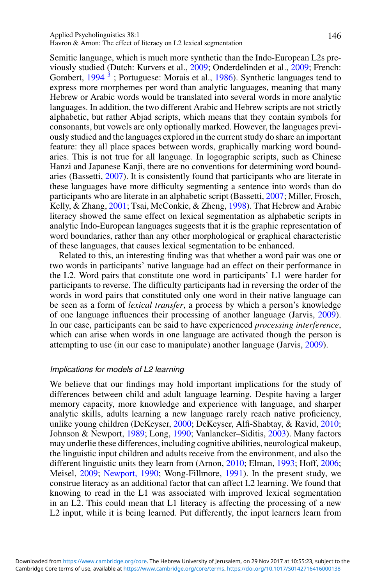Semitic language, which is much more synthetic than the Indo-European L2s previously studied (Dutch: Kurvers et al., [2009;](#page-24-0) Onderdelinden et al., [2009;](#page-24-0) French: Gombert, [1994](#page-23-0)<sup>3</sup>; Portuguese: Morais et al., [1986\)](#page-24-0). Synthetic languages tend to express more morphemes per word than analytic languages, meaning that many Hebrew or Arabic words would be translated into several words in more analytic languages. In addition, the two different Arabic and Hebrew scripts are not strictly alphabetic, but rather Abjad scripts, which means that they contain symbols for consonants, but vowels are only optionally marked. However, the languages previously studied and the languages explored in the current study do share an important feature: they all place spaces between words, graphically marking word boundaries. This is not true for all language. In logographic scripts, such as Chinese Hanzi and Japanese Kanji, there are no conventions for determining word boundaries (Bassetti, [2007\)](#page-22-0). It is consistently found that participants who are literate in these languages have more difficulty segmenting a sentence into words than do participants who are literate in an alphabetic script (Bassetti, [2007;](#page-22-0) Miller, Frosch, Kelly, & Zhang, [2001;](#page-24-0) Tsai, McConkie, & Zheng, [1998\)](#page-25-0). That Hebrew and Arabic literacy showed the same effect on lexical segmentation as alphabetic scripts in analytic Indo-European languages suggests that it is the graphic representation of word boundaries, rather than any other morphological or graphical characteristic of these languages, that causes lexical segmentation to be enhanced.

Related to this, an interesting finding was that whether a word pair was one or two words in participants' native language had an effect on their performance in the L2. Word pairs that constitute one word in participants' L1 were harder for participants to reverse. The difficulty participants had in reversing the order of the words in word pairs that constituted only one word in their native language can be seen as a form of *lexical transfer*, a process by which a person's knowledge of one language influences their processing of another language (Jarvis, [2009\)](#page-23-0). In our case, participants can be said to have experienced *processing interference*, which can arise when words in one language are activated though the person is attempting to use (in our case to manipulate) another language (Jarvis, [2009\)](#page-23-0).

# *Implications for models of L2 learning*

We believe that our findings may hold important implications for the study of differences between child and adult language learning. Despite having a larger memory capacity, more knowledge and experience with language, and sharper analytic skills, adults learning a new language rarely reach native proficiency, unlike young children (DeKeyser, [2000;](#page-23-0) DeKeyser, Alfi-Shabtay, & Ravid, [2010;](#page-23-0) Johnson & Newport, [1989;](#page-23-0) Long, [1990;](#page-24-0) Vanlancker–Siditis, [2003\)](#page-26-0). Many factors may underlie these differences, including cognitive abilities, neurological makeup, the linguistic input children and adults receive from the environment, and also the different linguistic units they learn from (Arnon, [2010;](#page-22-0) Elman, [1993;](#page-23-0) Hoff, [2006;](#page-23-0) Meisel, [2009;](#page-24-0) [Newport, 1990;](#page-24-0) Wong-Fillmore, [1991\)](#page-26-0). In the present study, we construe literacy as an additional factor that can affect L2 learning. We found that knowing to read in the L1 was associated with improved lexical segmentation in an L2. This could mean that L1 literacy is affecting the processing of a new L2 input, while it is being learned. Put differently, the input learners learn from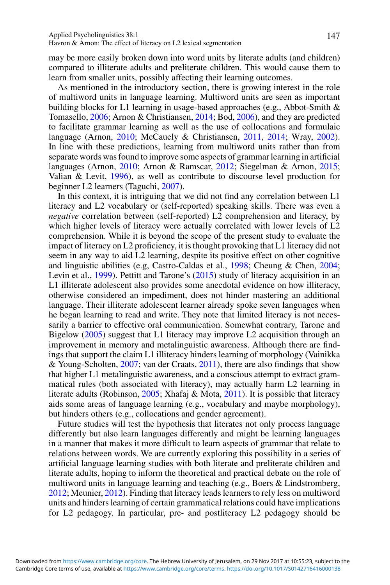may be more easily broken down into word units by literate adults (and children) compared to illiterate adults and preliterate children. This would cause them to learn from smaller units, possibly affecting their learning outcomes.

As mentioned in the introductory section, there is growing interest in the role of multiword units in language learning. Multiword units are seen as important building blocks for L1 learning in usage-based approaches (e.g., Abbot-Smith & Tomasello, [2006;](#page-22-0) Arnon & Christiansen, [2014;](#page-22-0) Bod, [2006\)](#page-22-0), and they are predicted to facilitate grammar learning as well as the use of collocations and formulaic language (Arnon, [2010;](#page-22-0) McCauely & Christiansen, [2011,](#page-24-0) [2014;](#page-24-0) Wray, [2002\)](#page-26-0). In line with these predictions, learning from multiword units rather than from separate words was found to improve some aspects of grammar learning in artificial languages (Arnon, [2010;](#page-22-0) Arnon & Ramscar, [2012;](#page-22-0) Siegelman & Arnon, [2015;](#page-25-0) Valian & Levit, [1996\)](#page-25-0), as well as contribute to discourse level production for beginner L2 learners (Taguchi, [2007\)](#page-25-0).

In this context, it is intriguing that we did not find any correlation between L1 literacy and L2 vocabulary or (self-reported) speaking skills. There was even a *negative* correlation between (self-reported) L2 comprehension and literacy, by which higher levels of literacy were actually correlated with lower levels of L2 comprehension. While it is beyond the scope of the present study to evaluate the impact of literacy on L2 proficiency, it is thought provoking that L1 literacy did not seem in any way to aid L2 learning, despite its positive effect on other cognitive and linguistic abilities (e.g, Castro-Caldas et al., [1998;](#page-22-0) Cheung & Chen, [2004;](#page-22-0) Levin et al., [1999\)](#page-24-0). Pettitt and Tarone's [\(2015\)](#page-25-0) study of literacy acquisition in an L1 illiterate adolescent also provides some anecdotal evidence on how illiteracy, otherwise considered an impediment, does not hinder mastering an additional language. Their illiterate adolescent learner already spoke seven languages when he began learning to read and write. They note that limited literacy is not necessarily a barrier to effective oral communication. Somewhat contrary, Tarone and Bigelow [\(2005\)](#page-25-0) suggest that L1 literacy may improve L2 acquisition through an improvement in memory and metalinguistic awareness. Although there are findings that support the claim L1 illiteracy hinders learning of morphology (Vainikka & Young-Scholten, [2007;](#page-25-0) van der Craats, [2011\)](#page-26-0), there are also findings that show that higher L1 metalinguistic awareness, and a conscious attempt to extract grammatical rules (both associated with literacy), may actually harm L2 learning in literate adults (Robinson, [2005;](#page-25-0) Xhafaj & Mota, [2011\)](#page-26-0). It is possible that literacy aids some areas of language learning (e.g., vocabulary and maybe morphology), but hinders others (e.g., collocations and gender agreement).

Future studies will test the hypothesis that literates not only process language differently but also learn languages differently and might be learning languages in a manner that makes it more difficult to learn aspects of grammar that relate to relations between words. We are currently exploring this possibility in a series of artificial language learning studies with both literate and preliterate children and literate adults, hoping to inform the theoretical and practical debate on the role of multiword units in language learning and teaching (e.g., Boers & Lindstromberg, [2012;](#page-22-0) Meunier, [2012\)](#page-24-0). Finding that literacy leads learners to rely less on multiword units and hinders learning of certain grammatical relations could have implications for L2 pedagogy. In particular, pre- and postliteracy L2 pedagogy should be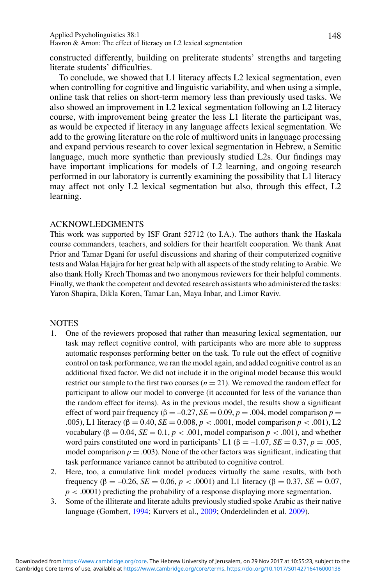#### <span id="page-21-0"></span>Applied Psycholinguistics 38:1 148 Havron & Arnon: The effect of literacy on L2 lexical segmentation

constructed differently, building on preliterate students' strengths and targeting literate students' difficulties.

To conclude, we showed that L1 literacy affects L2 lexical segmentation, even when controlling for cognitive and linguistic variability, and when using a simple, online task that relies on short-term memory less than previously used tasks. We also showed an improvement in L2 lexical segmentation following an L2 literacy course, with improvement being greater the less L1 literate the participant was, as would be expected if literacy in any language affects lexical segmentation. We add to the growing literature on the role of multiword units in language processing and expand pervious research to cover lexical segmentation in Hebrew, a Semitic language, much more synthetic than previously studied L2s. Our findings may have important implications for models of L2 learning, and ongoing research performed in our laboratory is currently examining the possibility that L1 literacy may affect not only L2 lexical segmentation but also, through this effect, L2 learning.

# ACKNOWLEDGMENTS

This work was supported by ISF Grant 52712 (to I.A.). The authors thank the Haskala course commanders, teachers, and soldiers for their heartfelt cooperation. We thank Anat Prior and Tamar Dgani for useful discussions and sharing of their computerized cognitive tests and Walaa Hajajra for her great help with all aspects of the study relating to Arabic. We also thank Holly Krech Thomas and two anonymous reviewers for their helpful comments. Finally, we thank the competent and devoted research assistants who administered the tasks: Yaron Shapira, Dikla Koren, Tamar Lan, Maya Inbar, and Limor Raviv.

# NOTES

- 1. One of the reviewers proposed that rather than measuring lexical segmentation, our task may reflect cognitive control, with participants who are more able to suppress automatic responses performing better on the task. To rule out the effect of cognitive control on task performance, we ran the model again, and added cognitive control as an additional fixed factor. We did not include it in the original model because this would restrict our sample to the first two courses  $(n = 21)$ . We removed the random effect for participant to allow our model to converge (it accounted for less of the variance than the random effect for items). As in the previous model, the results show a significant effect of word pair frequency ( $\beta = -0.27$ ,  $SE = 0.09$ ,  $p = .004$ , model comparison  $p =$ .005), L1 literacy (β = 0.40, *SE* = 0.008, *p* < .0001, model comparison *p* < .001), L2 vocabulary (β = 0.04, *SE* = 0.1, *p* < .001, model comparison *p* < .001), and whether word pairs constituted one word in participants' L1 ( $\beta = -1.07$ , *SE* = 0.37, *p* = .005, model comparison  $p = .003$ ). None of the other factors was significant, indicating that task performance variance cannot be attributed to cognitive control.
- 2. Here, too, a cumulative link model produces virtually the same results, with both frequency (β = –0.26, *SE* = 0.06, *p* < .0001) and L1 literacy (β = 0.37, *SE* = 0.07,  $p < .0001$ ) predicting the probability of a response displaying more segmentation.
- 3. Some of the illiterate and literate adults previously studied spoke Arabic as their native language (Gombert, [1994;](#page-23-0) Kurvers et al., [2009;](#page-24-0) Onderdelinden et al. [2009\)](#page-24-0).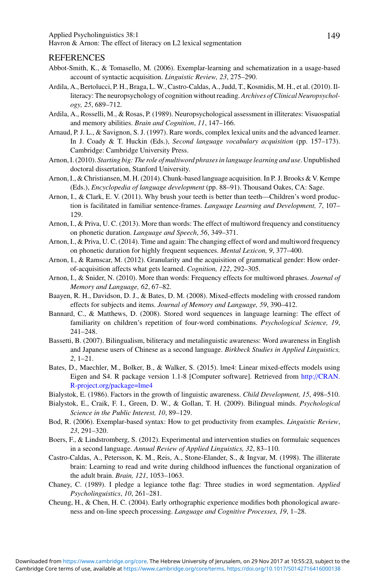<span id="page-22-0"></span>Applied Psycholinguistics 38:1 149 Havron & Arnon: The effect of literacy on L2 lexical segmentation

#### REFERENCES

- Abbot-Smith, K., & Tomasello, M. (2006). Exemplar-learning and schematization in a usage-based account of syntactic acquisition. *Linguistic Review, 23*, 275–290.
- Ardila, A., Bertolucci, P. H., Braga, L. W., Castro-Caldas, A., Judd, T., Kosmidis, M. H., et al. (2010). Illiteracy: The neuropsychology of cognition without reading. *Archives of Clinical Neuropsychology, 25*, 689–712.
- Ardila, A., Rosselli, M., & Rosas, P. (1989). Neuropsychological assessment in illiterates: Visuospatial and memory abilities. *Brain and Cognition*, *11*, 147–166.
- Arnaud, P. J. L., & Savignon, S. J. (1997). Rare words, complex lexical units and the advanced learner. In J. Coady & T. Huckin (Eds.), *Second language vocabulary acquisition* (pp. 157–173). Cambridge: Cambridge University Press.
- Arnon, I. (2010). *Starting big: The role of multiword phrases in language learning and use*. Unpublished doctoral dissertation, Stanford University.
- Arnon, I., & Christiansen, M. H. (2014). Chunk-based language acquisition. In P. J. Brooks & V. Kempe (Eds.), *Encyclopedia of language development* (pp. 88–91). Thousand Oakes, CA: Sage.
- Arnon, I., & Clark, E. V. (2011). Why brush your teeth is better than teeth—Children's word production is facilitated in familiar sentence-frames. *Language Learning and Development, 7*, 107– 129.
- Arnon, I., & Priva, U. C. (2013). More than words: The effect of multiword frequency and constituency on phonetic duration. *Language and Speech*, *56*, 349–371.
- Arnon, I., & Priva, U. C. (2014). Time and again: The changing effect of word and multiword frequency on phonetic duration for highly frequent sequences. *Mental Lexicon, 9*, 377–400.
- Arnon, I., & Ramscar, M. (2012). Granularity and the acquisition of grammatical gender: How orderof-acquisition affects what gets learned. *Cognition, 122*, 292–305.
- Arnon, I., & Snider, N. (2010). More than words: Frequency effects for multiword phrases. *Journal of Memory and Language, 62*, 67–82.
- Baayen, R. H., Davidson, D. J., & Bates, D. M. (2008). Mixed-effects modeling with crossed random effects for subjects and items. *Journal of Memory and Language, 59*, 390–412.
- Bannard, C., & Matthews, D. (2008). Stored word sequences in language learning: The effect of familiarity on children's repetition of four-word combinations. *Psychological Science, 19*, 241–248.
- Bassetti, B. (2007). Bilingualism, biliteracy and metalinguistic awareness: Word awareness in English and Japanese users of Chinese as a second language. *Birkbeck Studies in Applied Linguistics, 2*, 1–21.
- Bates, D., Maechler, M., Bolker, B., & Walker, S. (2015). lme4: Linear mixed-effects models using Eigen and S4. R package version 1.1-8 [Computer software]. Retrieved from http://[CRAN.](http://CRAN.R-project.org/package=lme4) R-project.org/[package=lme4](http://CRAN.R-project.org/package=lme4)
- Bialystok, E. (1986). Factors in the growth of linguistic awareness. *Child Development, 15*, 498–510.
- Bialystok, E., Craik, F. I., Green, D. W., & Gollan, T. H. (2009). Bilingual minds. *Psychological Science in the Public Interest, 10*, 89–129.
- Bod, R. (2006). Exemplar-based syntax: How to get productivity from examples. *Linguistic Review*, *23*, 291–320.
- Boers, F., & Lindstromberg, S. (2012). Experimental and intervention studies on formulaic sequences in a second language. *Annual Review of Applied Linguistics, 32*, 83–110.
- Castro-Caldas, A., Petersson, K. M., Reis, A., Stone-Elander, S., & Ingvar, M. (1998). The illiterate brain: Learning to read and write during childhood influences the functional organization of the adult brain. *Brain, 121*, 1053–1063.
- Chaney, C. (1989). I pledge a legiance tothe flag: Three studies in word segmentation. *Applied Psycholinguistics*, *10*, 261–281.
- Cheung, H., & Chen, H. C. (2004). Early orthographic experience modifies both phonological awareness and on-line speech processing. *Language and Cognitive Processes, 19*, 1–28.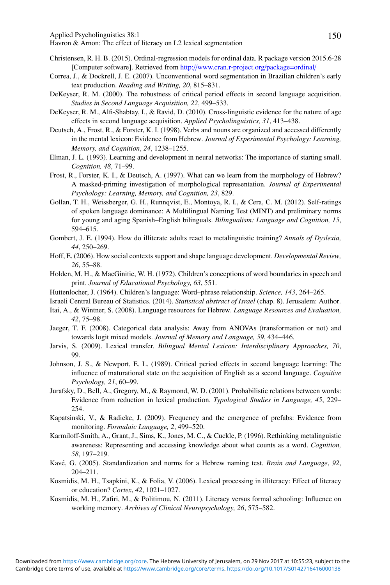<span id="page-23-0"></span>Applied Psycholinguistics 38:1 150

Havron & Arnon: The effect of literacy on L2 lexical segmentation

- Christensen, R. H. B. (2015). Ordinal-regression models for ordinal data. R package version 2015.6-28 [Computer software]. Retrieved from http://[www.cran.r-project.org](http://www.cran.r-project.org/package=ordinal/)/package=ordinal/
- Correa, J., & Dockrell, J. E. (2007). Unconventional word segmentation in Brazilian children's early text production. *Reading and Writing, 20*, 815–831.
- DeKeyser, R. M. (2000). The robustness of critical period effects in second language acquisition. *Studies in Second Language Acquisition, 22*, 499–533.
- DeKeyser, R. M., Alfi-Shabtay, I., & Ravid, D. (2010). Cross-linguistic evidence for the nature of age effects in second language acquisition. *Applied Psycholinguistics, 31*, 413–438.
- Deutsch, A., Frost, R., & Forster, K. I. (1998). Verbs and nouns are organized and accessed differently in the mental lexicon: Evidence from Hebrew. *Journal of Experimental Psychology: Learning, Memory, and Cognition*, *24*, 1238–1255.
- Elman, J. L. (1993). Learning and development in neural networks: The importance of starting small. *Cognition, 48*, 71–99.
- Frost, R., Forster, K. I., & Deutsch, A. (1997). What can we learn from the morphology of Hebrew? A masked-priming investigation of morphological representation. *Journal of Experimental Psychology: Learning, Memory, and Cognition, 23*, 829.
- Gollan, T. H., Weissberger, G. H., Runnqvist, E., Montoya, R. I., & Cera, C. M. (2012). Self-ratings of spoken language dominance: A Multilingual Naming Test (MINT) and preliminary norms for young and aging Spanish–English bilinguals. *Bilingualism: Language and Cognition, 15*, 594–615.
- Gombert, J. E. (1994). How do illiterate adults react to metalinguistic training? *Annals of Dyslexia, 44*, 250–269.
- Hoff, E. (2006). How social contexts support and shape language development. *Developmental Review, 26*, 55–88.
- Holden, M. H., & MacGinitie, W. H. (1972). Children's conceptions of word boundaries in speech and print. *Journal of Educational Psychology, 63*, 551.
- Huttenlocher, J. (1964). Children's language: Word–phrase relationship. *Science, 143*, 264–265.

Israeli Central Bureau of Statistics. (2014). *Statistical abstract of Israel* (chap. 8). Jerusalem: Author.

- Itai, A., & Wintner, S. (2008). Language resources for Hebrew. *Language Resources and Evaluation, 42*, 75–98.
- Jaeger, T. F. (2008). Categorical data analysis: Away from ANOVAs (transformation or not) and towards logit mixed models. *Journal of Memory and Language, 59*, 434–446.
- Jarvis, S. (2009). Lexical transfer. *Bilingual Mental Lexicon: Interdisciplinary Approaches, 70*, 99.
- Johnson, J. S., & Newport, E. L. (1989). Critical period effects in second language learning: The influence of maturational state on the acquisition of English as a second language. *Cognitive Psychology, 21*, 60–99.
- Jurafsky, D., Bell, A., Gregory, M., & Raymond, W. D. (2001). Probabilistic relations between words: Evidence from reduction in lexical production. *Typological Studies in Language, 45*, 229– 254.
- Kapatsinski, V., & Radicke, J. (2009). Frequency and the emergence of prefabs: Evidence from monitoring. *Formulaic Language, 2*, 499–520.
- Karmiloff-Smith, A., Grant, J., Sims, K., Jones, M. C., & Cuckle, P. (1996). Rethinking metalinguistic awareness: Representing and accessing knowledge about what counts as a word. *Cognition, 58*, 197–219.
- Kavé, G. (2005). Standardization and norms for a Hebrew naming test. *Brain and Language*, 92, 204–211.
- Kosmidis, M. H., Tsapkini, K., & Folia, V. (2006). Lexical processing in illiteracy: Effect of literacy or education? *Cortex*, *42*, 1021–1027.
- Kosmidis, M. H., Zafiri, M., & Politimou, N. (2011). Literacy versus formal schooling: Influence on working memory. *Archives of Clinical Neuropsychology, 26*, 575–582.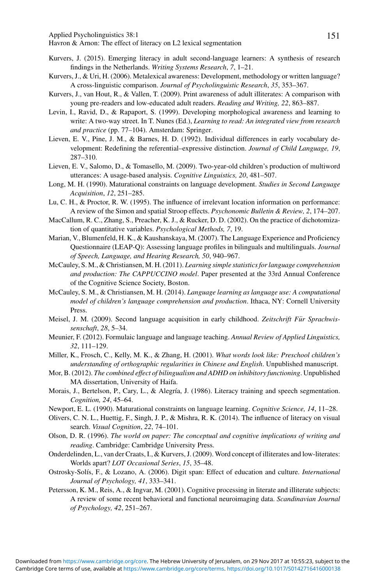<span id="page-24-0"></span>Havron & Arnon: The effect of literacy on L2 lexical segmentation

- Kurvers, J. (2015). Emerging literacy in adult second-language learners: A synthesis of research findings in the Netherlands. *Writing Systems Research*, *7*, 1–21.
- Kurvers, J., & Uri, H. (2006). Metalexical awareness: Development, methodology or written language? A cross-linguistic comparison. *Journal of Psycholinguistic Research*, *35*, 353–367.
- Kurvers, J., van Hout, R., & Vallen, T. (2009). Print awareness of adult illiterates: A comparison with young pre-readers and low-educated adult readers. *Reading and Writing, 22*, 863–887.
- Levin, I., Ravid, D., & Rapaport, S. (1999). Developing morphological awareness and learning to write: A two-way street. In T. Nunes (Ed.), *Learning to read: An integrated view from research and practice* (pp. 77–104). Amsterdam: Springer.
- Lieven, E. V., Pine, J. M., & Barnes, H. D. (1992). Individual differences in early vocabulary development: Redefining the referential–expressive distinction. *Journal of Child Language, 19*, 287–310.
- Lieven, E. V., Salomo, D., & Tomasello, M. (2009). Two-year-old children's production of multiword utterances: A usage-based analysis. *Cognitive Linguistics, 20*, 481–507.
- Long, M. H. (1990). Maturational constraints on language development. *Studies in Second Language Acquisition*, *12*, 251–285.
- Lu, C. H., & Proctor, R. W. (1995). The influence of irrelevant location information on performance: A review of the Simon and spatial Stroop effects. *Psychonomic Bulletin & Review, 2*, 174–207.
- MacCallum, R. C., Zhang, S., Preacher, K. J., & Rucker, D. D. (2002). On the practice of dichotomization of quantitative variables. *Psychological Methods, 7*, 19.
- Marian, V., Blumenfeld, H. K., & Kaushanskaya, M. (2007). The Language Experience and Proficiency Questionnaire (LEAP-Q): Assessing language profiles in bilinguals and multilinguals. *Journal of Speech, Language, and Hearing Research, 50*, 940–967.
- McCauley, S. M., & Christiansen, M. H. (2011). *Learning simple statistics for language comprehension and production: The CAPPUCCINO model*. Paper presented at the 33rd Annual Conference of the Cognitive Science Society, Boston.
- McCauley, S. M., & Christiansen, M. H. (2014). *Language learning as language use: A computational model of children's language comprehension and production*. Ithaca, NY: Cornell University Press.
- Meisel, J. M. (2009). Second language acquisition in early childhood. *Zeitschrift Fur Sprachwis- ¨ senschaft*, *28*, 5–34.
- Meunier, F. (2012). Formulaic language and language teaching. *Annual Review of Applied Linguistics, 32*, 111–129.
- Miller, K., Frosch, C., Kelly, M. K., & Zhang, H. (2001). *What words look like: Preschool children's understanding of orthographic regularities in Chinese and English*. Unpublished manuscript.
- Mor, B. (2012). *The combined effect of bilingualism and ADHD on inhibitory functioning*. Unpublished MA dissertation, University of Haifa.
- Morais, J., Bertelson, P., Cary, L., & Alegría, J. (1986). Literacy training and speech segmentation. *Cognition, 24*, 45–64.
- Newport, E. L. (1990). Maturational constraints on language learning. *Cognitive Science, 14*, 11–28.
- Olivers, C. N. L., Huettig, F., Singh, J. P., & Mishra, R. K. (2014). The influence of literacy on visual search. *Visual Cognition*, *22*, 74–101.
- Olson, D. R. (1996). *The world on paper: The conceptual and cognitive implications of writing and reading*. Cambridge: Cambridge University Press.
- Onderdelinden, L., van der Craats, I., & Kurvers, J. (2009). Word concept of illiterates and low-literates: Worlds apart? *LOT Occasional Series*, *15*, 35–48.
- Ostrosky-Solís, F., & Lozano, A. (2006). Digit span: Effect of education and culture. *International Journal of Psychology, 41*, 333–341.
- Petersson, K. M., Reis, A., & Ingvar, M. (2001). Cognitive processing in literate and illiterate subjects: A review of some recent behavioral and functional neuroimaging data. *Scandinavian Journal of Psychology, 42*, 251–267.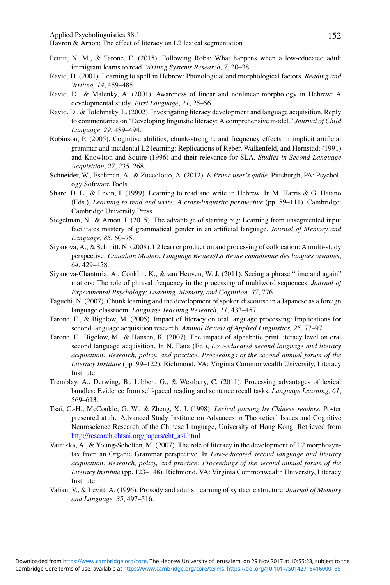<span id="page-25-0"></span>Applied Psycholinguistics 38:1 152

Havron & Arnon: The effect of literacy on L2 lexical segmentation

- Pettitt, N. M., & Tarone, E. (2015). Following Roba: What happens when a low-educated adult immigrant learns to read. *Writing Systems Research*, *7*, 20–38.
- Ravid, D. (2001). Learning to spell in Hebrew: Phonological and morphological factors. *Reading and Writing, 14*, 459–485.
- Ravid, D., & Malenky, A. (2001). Awareness of linear and nonlinear morphology in Hebrew: A developmental study. *First Language*, *21*, 25–56.
- Ravid, D., & Tolchinsky, L. (2002). Investigating literacy development and language acquisition. Reply to commentaries on "Developing linguistic literacy: A comprehensive model." *Journal of Child Language*, *29*, 489–494.
- Robinson, P. (2005). Cognitive abilities, chunk-strength, and frequency effects in implicit artificial grammar and incidental L2 learning: Replications of Reber, Walkenfeld, and Hernstadt (1991) and Knowlton and Squire (1996) and their relevance for SLA. *Studies in Second Language Acquisition*, *27*, 235–268.
- Schneider, W., Eschman, A., & Zuccolotto, A. (2012). *E-Prime user's guide*. Pittsburgh, PA: Psychology Software Tools.
- Share, D. L., & Levin, I. (1999). Learning to read and write in Hebrew. In M. Harris & G. Hatano (Eds.), *Learning to read and write: A cross-linguistic perspective* (pp. 89–111). Cambridge: Cambridge University Press.
- Siegelman, N., & Arnon, I. (2015). The advantage of starting big: Learning from unsegmented input facilitates mastery of grammatical gender in an artificial language. *Journal of Memory and Language, 85*, 60–75.
- Siyanova, A., & Schmitt, N. (2008). L2 learner production and processing of collocation: A multi-study perspective. *Canadian Modern Language Review/La Revue canadienne des langues vivantes*, *64*, 429–458.
- Siyanova-Chanturia, A., Conklin, K., & van Heuven, W. J. (2011). Seeing a phrase "time and again" matters: The role of phrasal frequency in the processing of multiword sequences. *Journal of Experimental Psychology: Learning, Memory, and Cognition, 37*, 776.
- Taguchi, N. (2007). Chunk learning and the development of spoken discourse in a Japanese as a foreign language classroom. *Language Teaching Research*, *11*, 433–457.
- Tarone, E., & Bigelow, M. (2005). Impact of literacy on oral language processing: Implications for second language acquisition research. *Annual Review of Applied Linguistics, 25*, 77–97.
- Tarone, E., Bigelow, M., & Hansen, K. (2007). The impact of alphabetic print literacy level on oral second language acquisition. In N. Faux (Ed.), *Low-educated second language and literacy acquisition: Research, policy, and practice. Proceedings of the second annual forum of the Literacy Institute* (pp. 99–122). Richmond, VA: Virginia Commonwealth University, Literacy Institute.
- Tremblay, A., Derwing, B., Libben, G., & Westbury, C. (2011). Processing advantages of lexical bundles: Evidence from self-paced reading and sentence recall tasks. *Language Learning, 61*, 569–613.
- Tsai, C.-H., McConkie, G. W., & Zheng, X. J. (1998). *Lexical parsing by Chinese readers*. Poster presented at the Advanced Study Institute on Advances in Theoretical Issues and Cognitive Neuroscience Research of the Chinese Language, University of Hong Kong. Retrieved from http://[research.chtsai.org](http://research.chtsai.org/papers/cht_asi.html)/papers/cht\_asi.html
- Vainikka, A., & Young-Scholten, M. (2007). The role of literacy in the development of L2 morphosyntax from an Organic Grammar perspective. In *Low-educated second language and literacy acquisition: Research, policy, and practice: Proceedings of the second annual forum of the Literacy Institute* (pp. 123–148). Richmond, VA: Virginia Commonwealth University, Literacy Institute.
- Valian, V., & Levitt, A. (1996). Prosody and adults' learning of syntactic structure. *Journal of Memory and Language, 35*, 497–516.